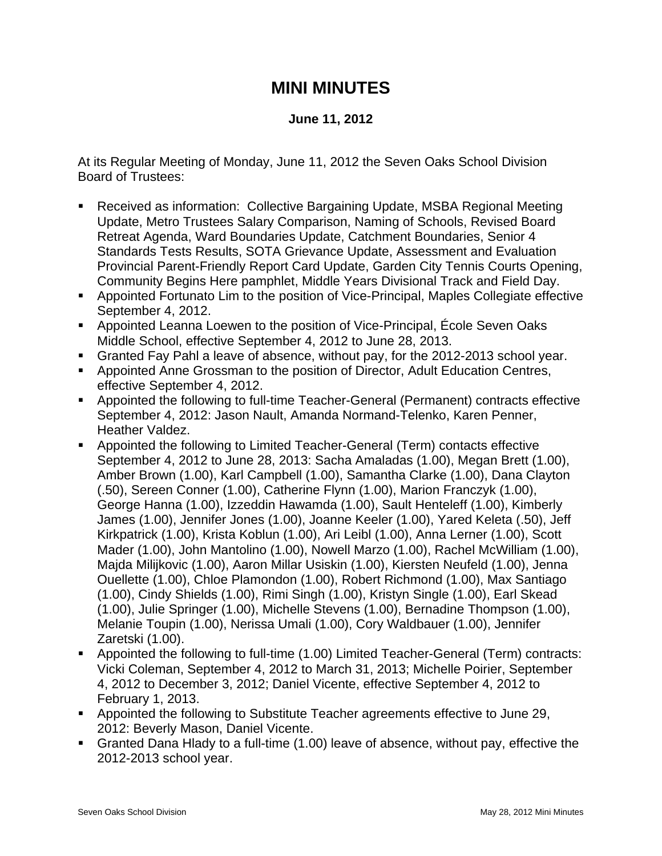## **MINI MINUTES**

## **June 11, 2012**

At its Regular Meeting of Monday, June 11, 2012 the Seven Oaks School Division Board of Trustees:

- Received as information: Collective Bargaining Update, MSBA Regional Meeting Update, Metro Trustees Salary Comparison, Naming of Schools, Revised Board Retreat Agenda, Ward Boundaries Update, Catchment Boundaries, Senior 4 Standards Tests Results, SOTA Grievance Update, Assessment and Evaluation Provincial Parent-Friendly Report Card Update, Garden City Tennis Courts Opening, Community Begins Here pamphlet, Middle Years Divisional Track and Field Day.
- Appointed Fortunato Lim to the position of Vice-Principal, Maples Collegiate effective September 4, 2012.
- Appointed Leanna Loewen to the position of Vice-Principal, École Seven Oaks Middle School, effective September 4, 2012 to June 28, 2013.
- Granted Fay Pahl a leave of absence, without pay, for the 2012-2013 school year.
- Appointed Anne Grossman to the position of Director, Adult Education Centres, effective September 4, 2012.
- Appointed the following to full-time Teacher-General (Permanent) contracts effective September 4, 2012: Jason Nault, Amanda Normand-Telenko, Karen Penner, Heather Valdez.
- Appointed the following to Limited Teacher-General (Term) contacts effective September 4, 2012 to June 28, 2013: Sacha Amaladas (1.00), Megan Brett (1.00), Amber Brown (1.00), Karl Campbell (1.00), Samantha Clarke (1.00), Dana Clayton (.50), Sereen Conner (1.00), Catherine Flynn (1.00), Marion Franczyk (1.00), George Hanna (1.00), Izzeddin Hawamda (1.00), Sault Henteleff (1.00), Kimberly James (1.00), Jennifer Jones (1.00), Joanne Keeler (1.00), Yared Keleta (.50), Jeff Kirkpatrick (1.00), Krista Koblun (1.00), Ari Leibl (1.00), Anna Lerner (1.00), Scott Mader (1.00), John Mantolino (1.00), Nowell Marzo (1.00), Rachel McWilliam (1.00), Majda Milijkovic (1.00), Aaron Millar Usiskin (1.00), Kiersten Neufeld (1.00), Jenna Ouellette (1.00), Chloe Plamondon (1.00), Robert Richmond (1.00), Max Santiago (1.00), Cindy Shields (1.00), Rimi Singh (1.00), Kristyn Single (1.00), Earl Skead (1.00), Julie Springer (1.00), Michelle Stevens (1.00), Bernadine Thompson (1.00), Melanie Toupin (1.00), Nerissa Umali (1.00), Cory Waldbauer (1.00), Jennifer Zaretski (1.00).
- Appointed the following to full-time (1.00) Limited Teacher-General (Term) contracts: Vicki Coleman, September 4, 2012 to March 31, 2013; Michelle Poirier, September 4, 2012 to December 3, 2012; Daniel Vicente, effective September 4, 2012 to February 1, 2013.
- Appointed the following to Substitute Teacher agreements effective to June 29, 2012: Beverly Mason, Daniel Vicente.
- Granted Dana Hlady to a full-time (1.00) leave of absence, without pay, effective the 2012-2013 school year.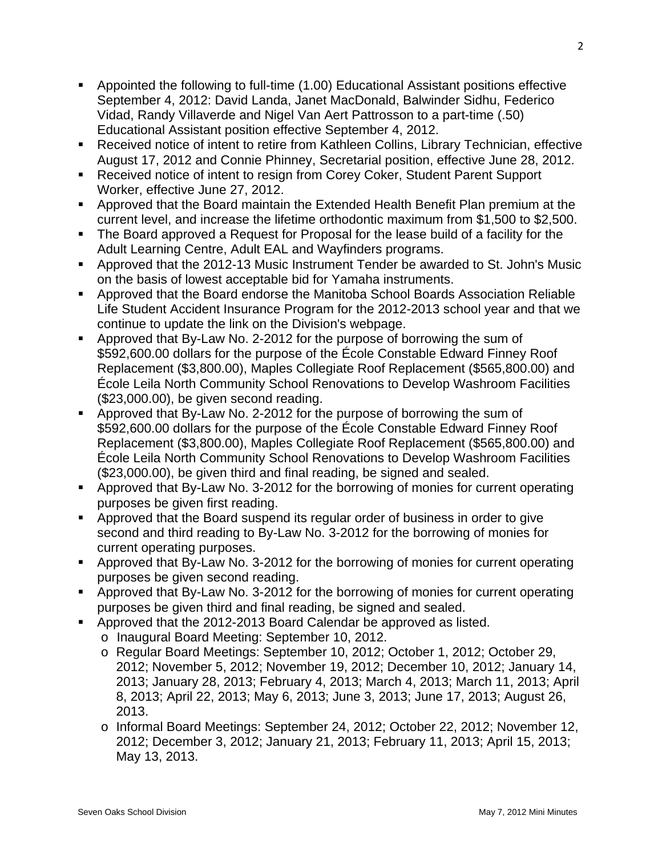- Appointed the following to full-time (1.00) Educational Assistant positions effective September 4, 2012: David Landa, Janet MacDonald, Balwinder Sidhu, Federico Vidad, Randy Villaverde and Nigel Van Aert Pattrosson to a part-time (.50) Educational Assistant position effective September 4, 2012.
- Received notice of intent to retire from Kathleen Collins, Library Technician, effective August 17, 2012 and Connie Phinney, Secretarial position, effective June 28, 2012.
- Received notice of intent to resign from Corey Coker, Student Parent Support Worker, effective June 27, 2012.
- Approved that the Board maintain the Extended Health Benefit Plan premium at the current level, and increase the lifetime orthodontic maximum from \$1,500 to \$2,500.
- The Board approved a Request for Proposal for the lease build of a facility for the Adult Learning Centre, Adult EAL and Wayfinders programs.
- Approved that the 2012-13 Music Instrument Tender be awarded to St. John's Music on the basis of lowest acceptable bid for Yamaha instruments.
- Approved that the Board endorse the Manitoba School Boards Association Reliable Life Student Accident Insurance Program for the 2012-2013 school year and that we continue to update the link on the Division's webpage.
- **Approved that By-Law No. 2-2012 for the purpose of borrowing the sum of** \$592,600.00 dollars for the purpose of the École Constable Edward Finney Roof Replacement (\$3,800.00), Maples Collegiate Roof Replacement (\$565,800.00) and École Leila North Community School Renovations to Develop Washroom Facilities (\$23,000.00), be given second reading.
- Approved that By-Law No. 2-2012 for the purpose of borrowing the sum of \$592,600.00 dollars for the purpose of the École Constable Edward Finney Roof Replacement (\$3,800.00), Maples Collegiate Roof Replacement (\$565,800.00) and École Leila North Community School Renovations to Develop Washroom Facilities (\$23,000.00), be given third and final reading, be signed and sealed.
- **Approved that By-Law No. 3-2012 for the borrowing of monies for current operating** purposes be given first reading.
- Approved that the Board suspend its regular order of business in order to give second and third reading to By-Law No. 3-2012 for the borrowing of monies for current operating purposes.
- **Approved that By-Law No. 3-2012 for the borrowing of monies for current operating** purposes be given second reading.
- Approved that By-Law No. 3-2012 for the borrowing of monies for current operating purposes be given third and final reading, be signed and sealed.
- Approved that the 2012-2013 Board Calendar be approved as listed.
	- o Inaugural Board Meeting: September 10, 2012.
	- o Regular Board Meetings: September 10, 2012; October 1, 2012; October 29, 2012; November 5, 2012; November 19, 2012; December 10, 2012; January 14, 2013; January 28, 2013; February 4, 2013; March 4, 2013; March 11, 2013; April 8, 2013; April 22, 2013; May 6, 2013; June 3, 2013; June 17, 2013; August 26, 2013.
	- o Informal Board Meetings: September 24, 2012; October 22, 2012; November 12, 2012; December 3, 2012; January 21, 2013; February 11, 2013; April 15, 2013; May 13, 2013.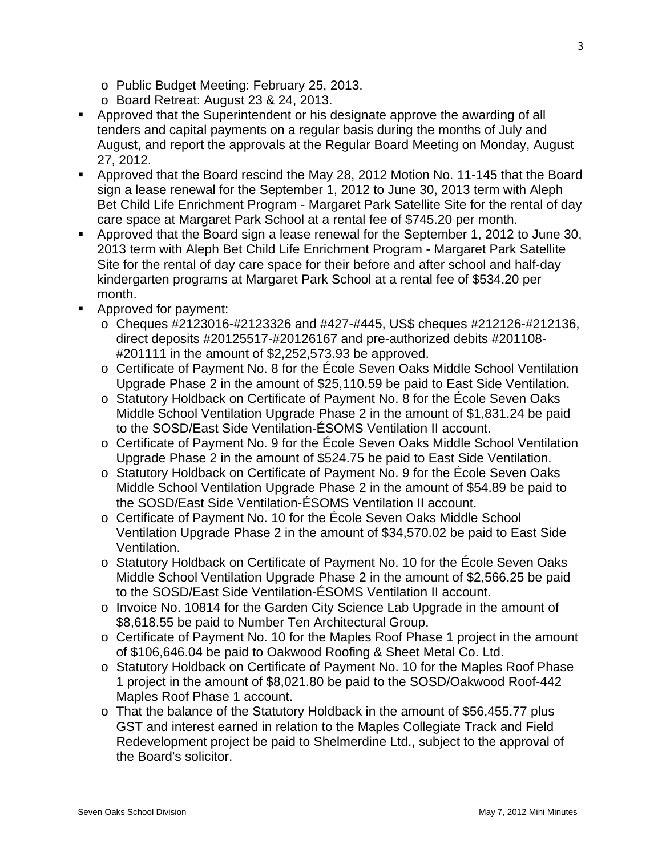- o Public Budget Meeting: February 25, 2013.
- o Board Retreat: August 23 & 24, 2013.
- Approved that the Superintendent or his designate approve the awarding of all tenders and capital payments on a regular basis during the months of July and August, and report the approvals at the Regular Board Meeting on Monday, August 27, 2012.
- Approved that the Board rescind the May 28, 2012 Motion No. 11-145 that the Board sign a lease renewal for the September 1, 2012 to June 30, 2013 term with Aleph Bet Child Life Enrichment Program - Margaret Park Satellite Site for the rental of day care space at Margaret Park School at a rental fee of \$745.20 per month.
- Approved that the Board sign a lease renewal for the September 1, 2012 to June 30, 2013 term with Aleph Bet Child Life Enrichment Program - Margaret Park Satellite Site for the rental of day care space for their before and after school and half-day kindergarten programs at Margaret Park School at a rental fee of \$534.20 per month.
- Approved for payment:
	- o Cheques #2123016-#2123326 and #427-#445, US\$ cheques #212126-#212136, direct deposits #20125517-#20126167 and pre-authorized debits #201108- #201111 in the amount of \$2,252,573.93 be approved.
	- o Certificate of Payment No. 8 for the École Seven Oaks Middle School Ventilation Upgrade Phase 2 in the amount of \$25,110.59 be paid to East Side Ventilation.
	- o Statutory Holdback on Certificate of Payment No. 8 for the École Seven Oaks Middle School Ventilation Upgrade Phase 2 in the amount of \$1,831.24 be paid to the SOSD/East Side Ventilation-ÉSOMS Ventilation II account.
	- o Certificate of Payment No. 9 for the École Seven Oaks Middle School Ventilation Upgrade Phase 2 in the amount of \$524.75 be paid to East Side Ventilation.
	- o Statutory Holdback on Certificate of Payment No. 9 for the École Seven Oaks Middle School Ventilation Upgrade Phase 2 in the amount of \$54.89 be paid to the SOSD/East Side Ventilation-ÉSOMS Ventilation II account.
	- o Certificate of Payment No. 10 for the École Seven Oaks Middle School Ventilation Upgrade Phase 2 in the amount of \$34,570.02 be paid to East Side Ventilation.
	- o Statutory Holdback on Certificate of Payment No. 10 for the École Seven Oaks Middle School Ventilation Upgrade Phase 2 in the amount of \$2,566.25 be paid to the SOSD/East Side Ventilation-ÉSOMS Ventilation II account.
	- o Invoice No. 10814 for the Garden City Science Lab Upgrade in the amount of \$8,618.55 be paid to Number Ten Architectural Group.
	- o Certificate of Payment No. 10 for the Maples Roof Phase 1 project in the amount of \$106,646.04 be paid to Oakwood Roofing & Sheet Metal Co. Ltd.
	- o Statutory Holdback on Certificate of Payment No. 10 for the Maples Roof Phase 1 project in the amount of \$8,021.80 be paid to the SOSD/Oakwood Roof-442 Maples Roof Phase 1 account.
	- o That the balance of the Statutory Holdback in the amount of \$56,455.77 plus GST and interest earned in relation to the Maples Collegiate Track and Field Redevelopment project be paid to Shelmerdine Ltd., subject to the approval of the Board's solicitor.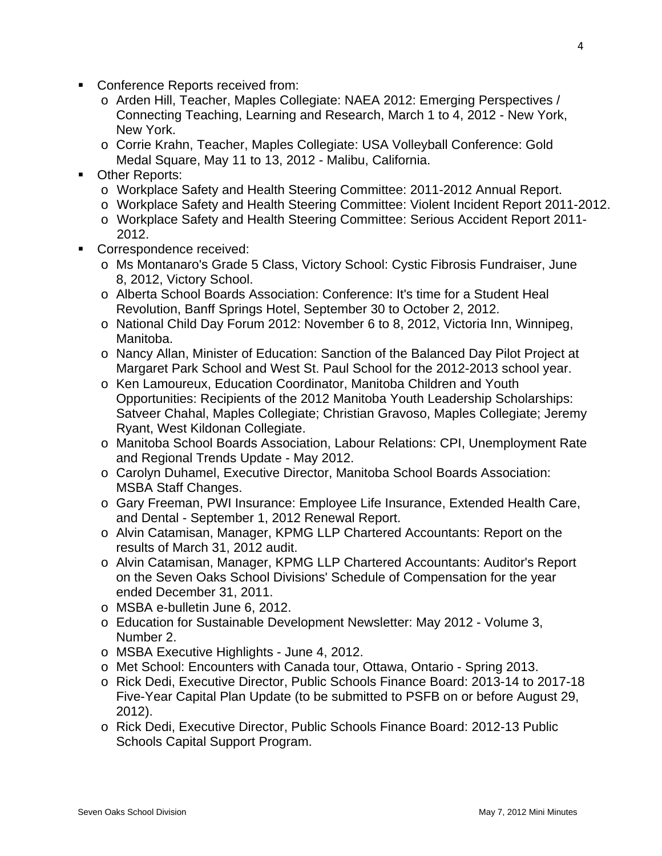- Conference Reports received from:
	- o Arden Hill, Teacher, Maples Collegiate: NAEA 2012: Emerging Perspectives / Connecting Teaching, Learning and Research, March 1 to 4, 2012 - New York, New York.
	- o Corrie Krahn, Teacher, Maples Collegiate: USA Volleyball Conference: Gold Medal Square, May 11 to 13, 2012 - Malibu, California.
- **Cther Reports:** 
	- o Workplace Safety and Health Steering Committee: 2011-2012 Annual Report.
	- o Workplace Safety and Health Steering Committee: Violent Incident Report 2011-2012.
	- o Workplace Safety and Health Steering Committee: Serious Accident Report 2011- 2012.
- Correspondence received:
	- o Ms Montanaro's Grade 5 Class, Victory School: Cystic Fibrosis Fundraiser, June 8, 2012, Victory School.
	- o Alberta School Boards Association: Conference: It's time for a Student Heal Revolution, Banff Springs Hotel, September 30 to October 2, 2012.
	- o National Child Day Forum 2012: November 6 to 8, 2012, Victoria Inn, Winnipeg, Manitoba.
	- o Nancy Allan, Minister of Education: Sanction of the Balanced Day Pilot Project at Margaret Park School and West St. Paul School for the 2012-2013 school year.
	- o Ken Lamoureux, Education Coordinator, Manitoba Children and Youth Opportunities: Recipients of the 2012 Manitoba Youth Leadership Scholarships: Satveer Chahal, Maples Collegiate; Christian Gravoso, Maples Collegiate; Jeremy Ryant, West Kildonan Collegiate.
	- o Manitoba School Boards Association, Labour Relations: CPI, Unemployment Rate and Regional Trends Update - May 2012.
	- o Carolyn Duhamel, Executive Director, Manitoba School Boards Association: MSBA Staff Changes.
	- o Gary Freeman, PWI Insurance: Employee Life Insurance, Extended Health Care, and Dental - September 1, 2012 Renewal Report.
	- o Alvin Catamisan, Manager, KPMG LLP Chartered Accountants: Report on the results of March 31, 2012 audit.
	- o Alvin Catamisan, Manager, KPMG LLP Chartered Accountants: Auditor's Report on the Seven Oaks School Divisions' Schedule of Compensation for the year ended December 31, 2011.
	- o MSBA e-bulletin June 6, 2012.
	- o Education for Sustainable Development Newsletter: May 2012 Volume 3, Number 2.
	- o MSBA Executive Highlights June 4, 2012.
	- o Met School: Encounters with Canada tour, Ottawa, Ontario Spring 2013.
	- o Rick Dedi, Executive Director, Public Schools Finance Board: 2013-14 to 2017-18 Five-Year Capital Plan Update (to be submitted to PSFB on or before August 29, 2012).
	- o Rick Dedi, Executive Director, Public Schools Finance Board: 2012-13 Public Schools Capital Support Program.